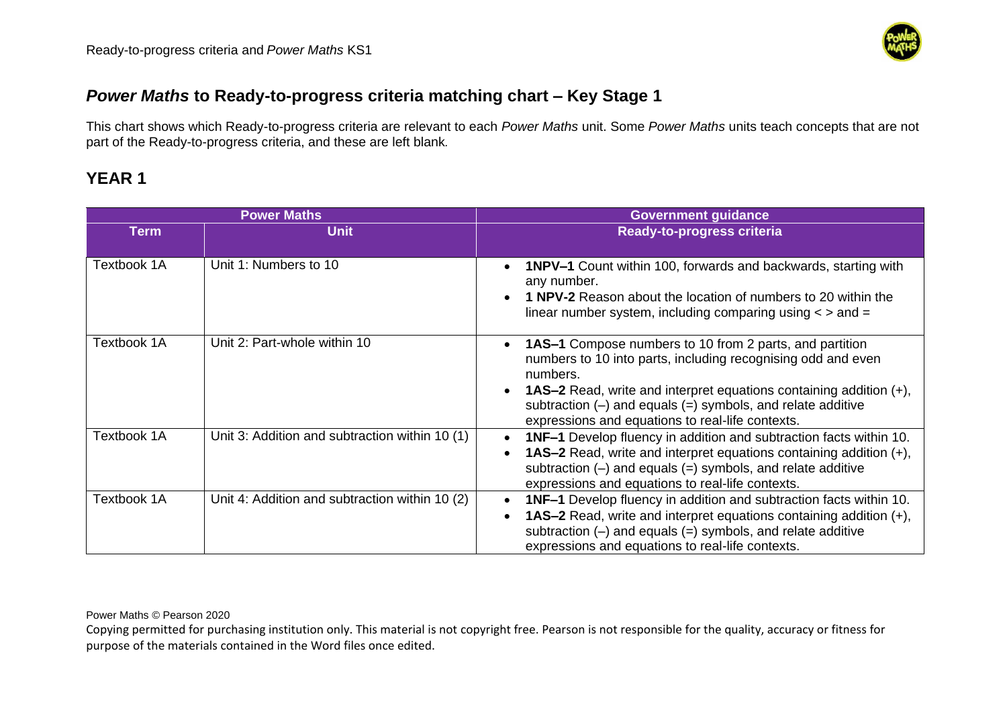

#### *Power Maths* **to Ready-to-progress criteria matching chart – Key Stage 1**

This chart shows which Ready-to-progress criteria are relevant to each *Power Maths* unit. Some *Power Maths* units teach concepts that are not part of the Ready-to-progress criteria, and these are left blank*.*

# **YEAR 1**

| <b>Power Maths</b> |                                                | <b>Government guidance</b>                                                                                                                                                                                                                                                                                                                                               |
|--------------------|------------------------------------------------|--------------------------------------------------------------------------------------------------------------------------------------------------------------------------------------------------------------------------------------------------------------------------------------------------------------------------------------------------------------------------|
| <b>Term</b>        | <b>Unit</b>                                    | <b>Ready-to-progress criteria</b>                                                                                                                                                                                                                                                                                                                                        |
| Textbook 1A        | Unit 1: Numbers to 10                          | <b>1NPV-1</b> Count within 100, forwards and backwards, starting with<br>$\bullet$<br>any number.<br>1 NPV-2 Reason about the location of numbers to 20 within the<br>linear number system, including comparing using $\lt$ > and =                                                                                                                                      |
| Textbook 1A        | Unit 2: Part-whole within 10                   | <b>1AS-1</b> Compose numbers to 10 from 2 parts, and partition<br>$\bullet$<br>numbers to 10 into parts, including recognising odd and even<br>numbers.<br><b>1AS-2</b> Read, write and interpret equations containing addition (+),<br>$\bullet$<br>subtraction $(-)$ and equals $(=)$ symbols, and relate additive<br>expressions and equations to real-life contexts. |
| Textbook 1A        | Unit 3: Addition and subtraction within 10 (1) | <b>1NF-1</b> Develop fluency in addition and subtraction facts within 10.<br>$\bullet$<br><b>1AS-2</b> Read, write and interpret equations containing addition (+),<br>subtraction $(-)$ and equals $(=)$ symbols, and relate additive<br>expressions and equations to real-life contexts.                                                                               |
| Textbook 1A        | Unit 4: Addition and subtraction within 10 (2) | <b>1NF-1</b> Develop fluency in addition and subtraction facts within 10.<br>$\bullet$<br><b>1AS-2</b> Read, write and interpret equations containing addition (+),<br>$\bullet$<br>subtraction $(-)$ and equals $(=)$ symbols, and relate additive<br>expressions and equations to real-life contexts.                                                                  |

Power Maths © Pearson 2020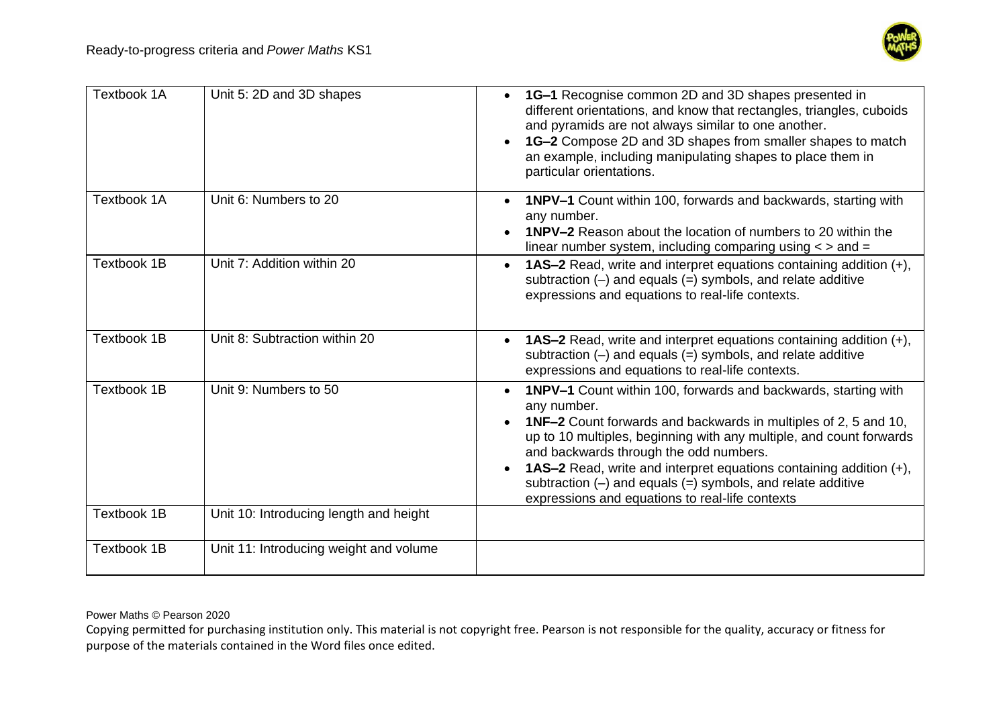

| Textbook 1A        | Unit 5: 2D and 3D shapes               | 1G-1 Recognise common 2D and 3D shapes presented in<br>different orientations, and know that rectangles, triangles, cuboids<br>and pyramids are not always similar to one another.<br>1G-2 Compose 2D and 3D shapes from smaller shapes to match<br>an example, including manipulating shapes to place them in<br>particular orientations.                                                                                                                                               |
|--------------------|----------------------------------------|------------------------------------------------------------------------------------------------------------------------------------------------------------------------------------------------------------------------------------------------------------------------------------------------------------------------------------------------------------------------------------------------------------------------------------------------------------------------------------------|
| Textbook 1A        | Unit 6: Numbers to 20                  | 1NPV-1 Count within 100, forwards and backwards, starting with<br>any number.<br><b>1NPV-2</b> Reason about the location of numbers to 20 within the<br>linear number system, including comparing using $\lt$ > and =                                                                                                                                                                                                                                                                    |
| <b>Textbook 1B</b> | Unit 7: Addition within 20             | 1AS-2 Read, write and interpret equations containing addition (+),<br>$\bullet$<br>subtraction $(-)$ and equals $(=)$ symbols, and relate additive<br>expressions and equations to real-life contexts.                                                                                                                                                                                                                                                                                   |
| <b>Textbook 1B</b> | Unit 8: Subtraction within 20          | <b>1AS-2</b> Read, write and interpret equations containing addition (+),<br>subtraction $(-)$ and equals $(=)$ symbols, and relate additive<br>expressions and equations to real-life contexts.                                                                                                                                                                                                                                                                                         |
| <b>Textbook 1B</b> | Unit 9: Numbers to 50                  | 1NPV-1 Count within 100, forwards and backwards, starting with<br>$\bullet$<br>any number.<br><b>1NF-2</b> Count forwards and backwards in multiples of 2, 5 and 10,<br>up to 10 multiples, beginning with any multiple, and count forwards<br>and backwards through the odd numbers.<br><b>1AS-2</b> Read, write and interpret equations containing addition (+),<br>subtraction $(-)$ and equals $(=)$ symbols, and relate additive<br>expressions and equations to real-life contexts |
| <b>Textbook 1B</b> | Unit 10: Introducing length and height |                                                                                                                                                                                                                                                                                                                                                                                                                                                                                          |
| <b>Textbook 1B</b> | Unit 11: Introducing weight and volume |                                                                                                                                                                                                                                                                                                                                                                                                                                                                                          |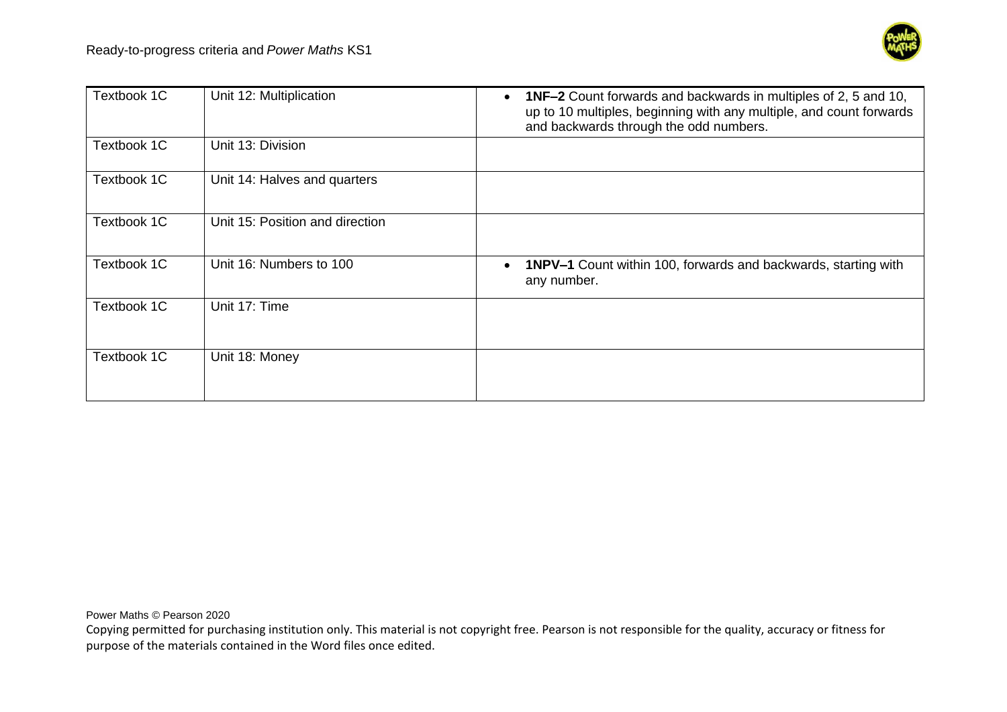

| Textbook 1C | Unit 12: Multiplication         | <b>1NF-2</b> Count forwards and backwards in multiples of 2, 5 and 10,<br>$\bullet$<br>up to 10 multiples, beginning with any multiple, and count forwards<br>and backwards through the odd numbers. |
|-------------|---------------------------------|------------------------------------------------------------------------------------------------------------------------------------------------------------------------------------------------------|
| Textbook 1C | Unit 13: Division               |                                                                                                                                                                                                      |
| Textbook 1C | Unit 14: Halves and quarters    |                                                                                                                                                                                                      |
| Textbook 1C | Unit 15: Position and direction |                                                                                                                                                                                                      |
| Textbook 1C | Unit 16: Numbers to 100         | <b>1NPV-1</b> Count within 100, forwards and backwards, starting with<br>$\bullet$<br>any number.                                                                                                    |
| Textbook 1C | Unit 17: Time                   |                                                                                                                                                                                                      |
| Textbook 1C | Unit 18: Money                  |                                                                                                                                                                                                      |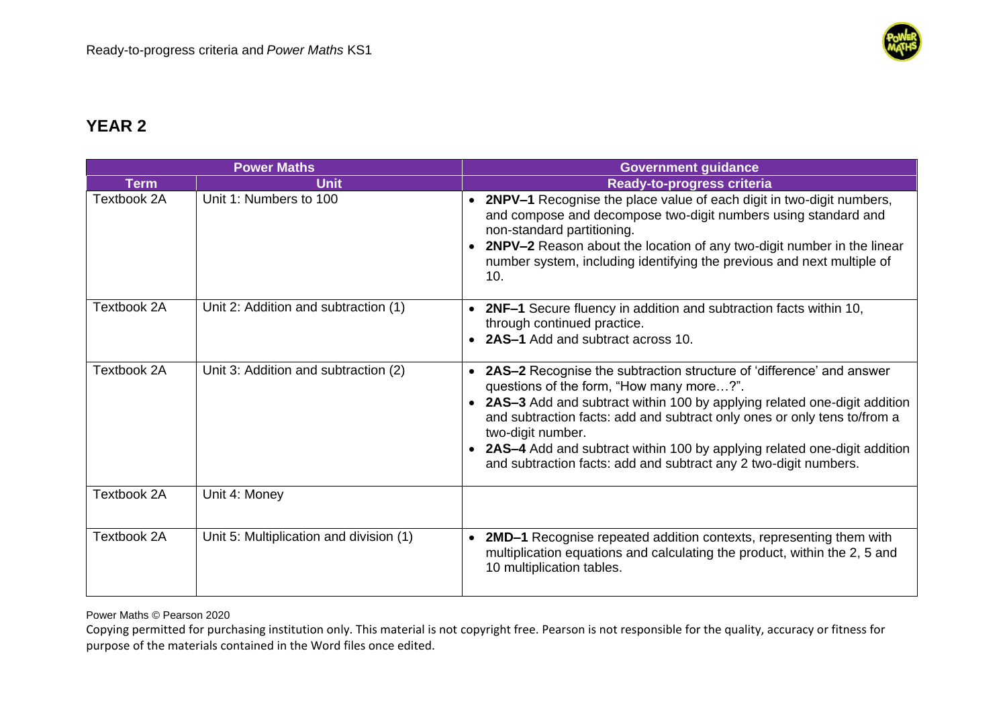

|                    | <b>Power Maths</b>                      | <b>Government guidance</b>                                                                                                                                                                                                                                                                                                                                                                                                                           |
|--------------------|-----------------------------------------|------------------------------------------------------------------------------------------------------------------------------------------------------------------------------------------------------------------------------------------------------------------------------------------------------------------------------------------------------------------------------------------------------------------------------------------------------|
| <b>Term</b>        | <b>Unit</b>                             | <b>Ready-to-progress criteria</b>                                                                                                                                                                                                                                                                                                                                                                                                                    |
| Textbook 2A        | Unit 1: Numbers to 100                  | • 2NPV-1 Recognise the place value of each digit in two-digit numbers,<br>and compose and decompose two-digit numbers using standard and<br>non-standard partitioning.<br>2NPV-2 Reason about the location of any two-digit number in the linear<br>number system, including identifying the previous and next multiple of<br>10.                                                                                                                    |
| Textbook 2A        | Unit 2: Addition and subtraction (1)    | • 2NF-1 Secure fluency in addition and subtraction facts within 10,<br>through continued practice.<br>2AS-1 Add and subtract across 10.                                                                                                                                                                                                                                                                                                              |
| Textbook 2A        | Unit 3: Addition and subtraction (2)    | <b>2AS-2</b> Recognise the subtraction structure of 'difference' and answer<br>questions of the form, "How many more?".<br>2AS-3 Add and subtract within 100 by applying related one-digit addition<br>and subtraction facts: add and subtract only ones or only tens to/from a<br>two-digit number.<br>2AS-4 Add and subtract within 100 by applying related one-digit addition<br>and subtraction facts: add and subtract any 2 two-digit numbers. |
| Textbook 2A        | Unit 4: Money                           |                                                                                                                                                                                                                                                                                                                                                                                                                                                      |
| <b>Textbook 2A</b> | Unit 5: Multiplication and division (1) | 2MD-1 Recognise repeated addition contexts, representing them with<br>multiplication equations and calculating the product, within the 2, 5 and<br>10 multiplication tables.                                                                                                                                                                                                                                                                         |

Power Maths © Pearson 2020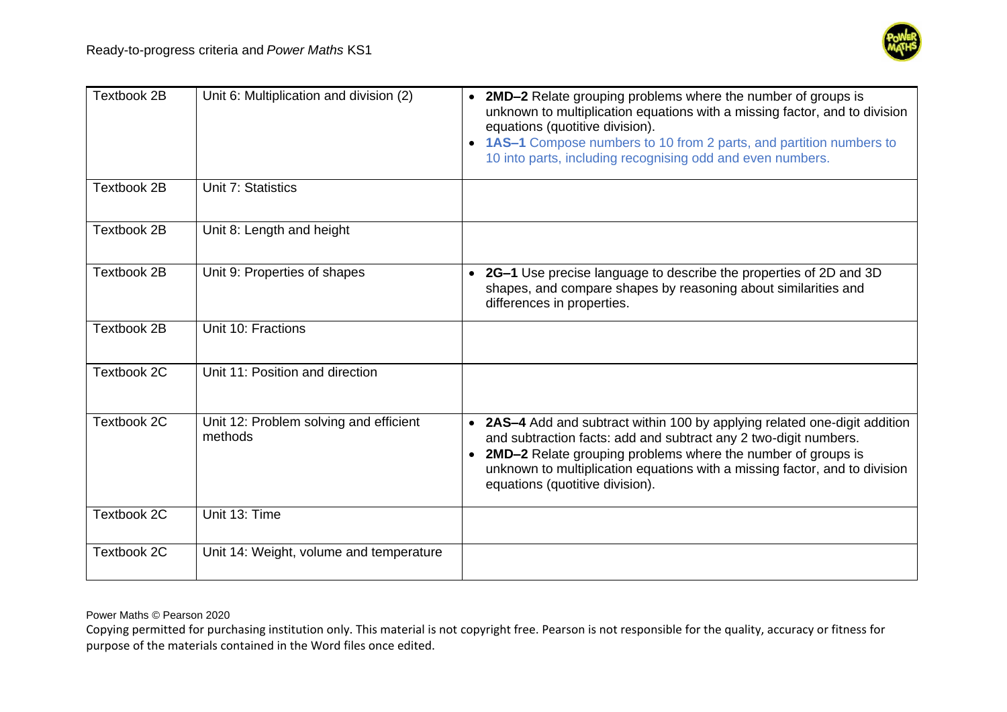

| Textbook 2B        | Unit 6: Multiplication and division (2)           | 2MD-2 Relate grouping problems where the number of groups is<br>unknown to multiplication equations with a missing factor, and to division<br>equations (quotitive division).<br>1AS-1 Compose numbers to 10 from 2 parts, and partition numbers to<br>10 into parts, including recognising odd and even numbers.               |
|--------------------|---------------------------------------------------|---------------------------------------------------------------------------------------------------------------------------------------------------------------------------------------------------------------------------------------------------------------------------------------------------------------------------------|
| <b>Textbook 2B</b> | Unit 7: Statistics                                |                                                                                                                                                                                                                                                                                                                                 |
| Textbook 2B        | Unit 8: Length and height                         |                                                                                                                                                                                                                                                                                                                                 |
| Textbook 2B        | Unit 9: Properties of shapes                      | • 2G-1 Use precise language to describe the properties of 2D and 3D<br>shapes, and compare shapes by reasoning about similarities and<br>differences in properties.                                                                                                                                                             |
| Textbook 2B        | Unit 10: Fractions                                |                                                                                                                                                                                                                                                                                                                                 |
| Textbook 2C        | Unit 11: Position and direction                   |                                                                                                                                                                                                                                                                                                                                 |
| Textbook 2C        | Unit 12: Problem solving and efficient<br>methods | • 2AS-4 Add and subtract within 100 by applying related one-digit addition<br>and subtraction facts: add and subtract any 2 two-digit numbers.<br>2MD-2 Relate grouping problems where the number of groups is<br>unknown to multiplication equations with a missing factor, and to division<br>equations (quotitive division). |
| Textbook 2C        | Unit 13: Time                                     |                                                                                                                                                                                                                                                                                                                                 |
| Textbook 2C        | Unit 14: Weight, volume and temperature           |                                                                                                                                                                                                                                                                                                                                 |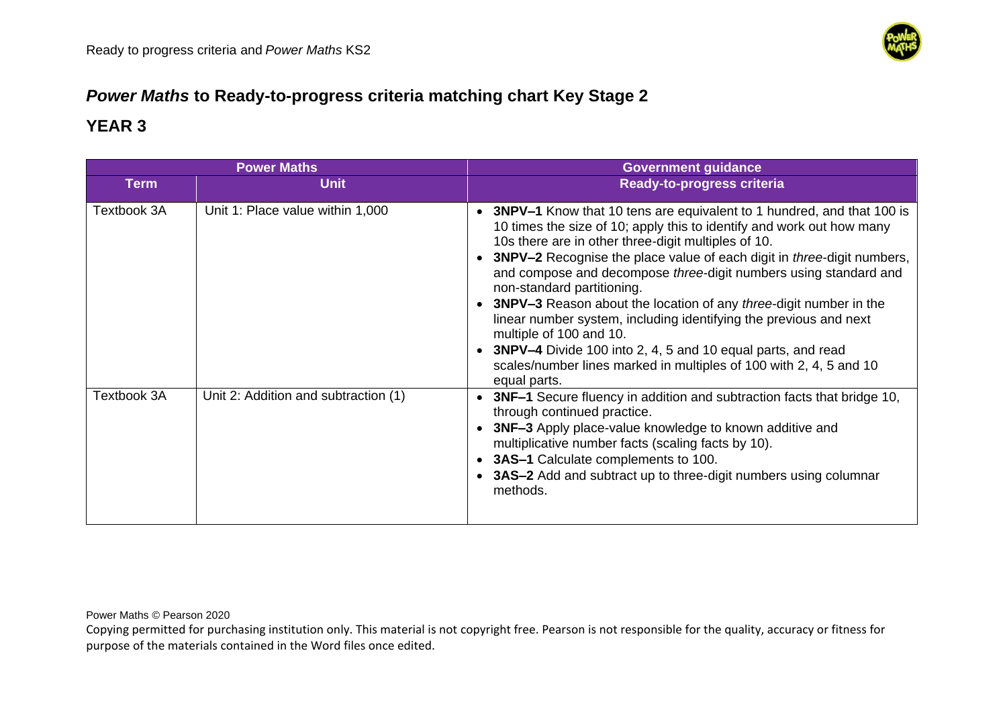

# *Power Maths* **to Ready-to-progress criteria matching chart Key Stage 2**

### **YEAR 3**

| <b>Power Maths</b> |                                      | <b>Government guidance</b>                                                                                                                                                                                                                                                                                                                                                                                                                                                                                                                                                                                                                                                                                                |
|--------------------|--------------------------------------|---------------------------------------------------------------------------------------------------------------------------------------------------------------------------------------------------------------------------------------------------------------------------------------------------------------------------------------------------------------------------------------------------------------------------------------------------------------------------------------------------------------------------------------------------------------------------------------------------------------------------------------------------------------------------------------------------------------------------|
| <b>Term</b>        | <b>Unit</b>                          | <b>Ready-to-progress criteria</b>                                                                                                                                                                                                                                                                                                                                                                                                                                                                                                                                                                                                                                                                                         |
| Textbook 3A        | Unit 1: Place value within 1,000     | • 3NPV-1 Know that 10 tens are equivalent to 1 hundred, and that 100 is<br>10 times the size of 10; apply this to identify and work out how many<br>10s there are in other three-digit multiples of 10.<br>3NPV-2 Recognise the place value of each digit in <i>three</i> -digit numbers,<br>and compose and decompose three-digit numbers using standard and<br>non-standard partitioning.<br>• 3NPV-3 Reason about the location of any three-digit number in the<br>linear number system, including identifying the previous and next<br>multiple of 100 and 10.<br>• 3NPV-4 Divide 100 into 2, 4, 5 and 10 equal parts, and read<br>scales/number lines marked in multiples of 100 with 2, 4, 5 and 10<br>equal parts. |
| Textbook 3A        | Unit 2: Addition and subtraction (1) | 3NF-1 Secure fluency in addition and subtraction facts that bridge 10,<br>through continued practice.<br>3NF-3 Apply place-value knowledge to known additive and<br>multiplicative number facts (scaling facts by 10).<br>3AS-1 Calculate complements to 100.<br>• 3AS-2 Add and subtract up to three-digit numbers using columnar<br>methods.                                                                                                                                                                                                                                                                                                                                                                            |

Power Maths © Pearson 2020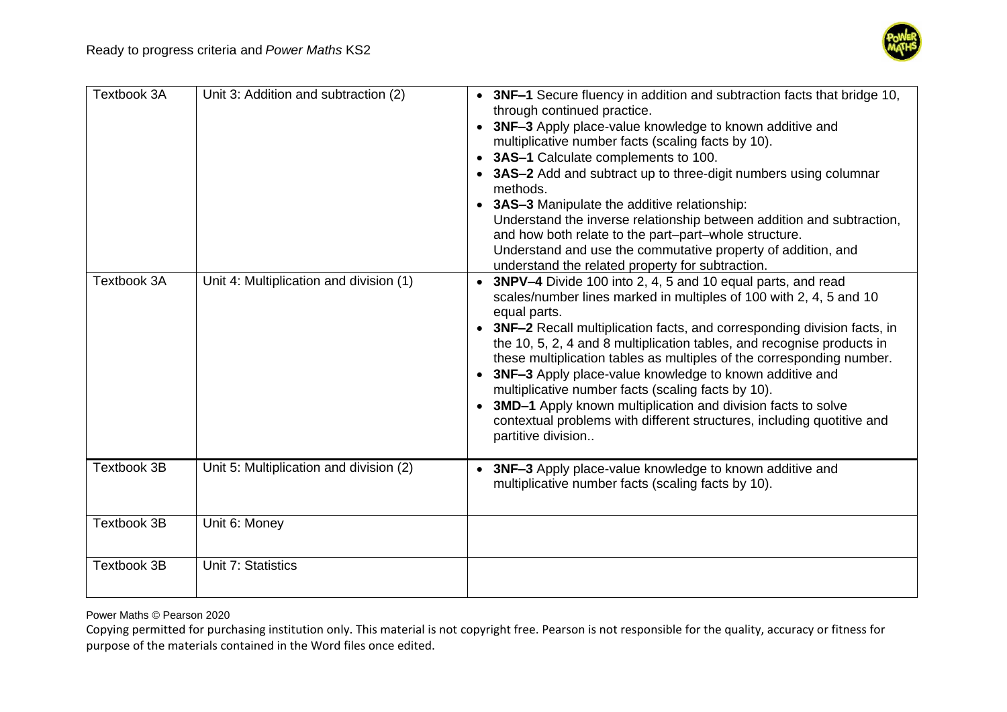

| <b>Textbook 3A</b> | Unit 3: Addition and subtraction (2)    | • 3NF-1 Secure fluency in addition and subtraction facts that bridge 10,<br>through continued practice.<br>• 3NF-3 Apply place-value knowledge to known additive and<br>multiplicative number facts (scaling facts by 10).<br>• 3AS-1 Calculate complements to 100.<br>3AS-2 Add and subtract up to three-digit numbers using columnar<br>methods.<br>• 3AS-3 Manipulate the additive relationship:<br>Understand the inverse relationship between addition and subtraction,<br>and how both relate to the part-part-whole structure.<br>Understand and use the commutative property of addition, and<br>understand the related property for subtraction.              |
|--------------------|-----------------------------------------|------------------------------------------------------------------------------------------------------------------------------------------------------------------------------------------------------------------------------------------------------------------------------------------------------------------------------------------------------------------------------------------------------------------------------------------------------------------------------------------------------------------------------------------------------------------------------------------------------------------------------------------------------------------------|
| Textbook 3A        | Unit 4: Multiplication and division (1) | • 3NPV-4 Divide 100 into 2, 4, 5 and 10 equal parts, and read<br>scales/number lines marked in multiples of 100 with 2, 4, 5 and 10<br>equal parts.<br>• 3NF-2 Recall multiplication facts, and corresponding division facts, in<br>the 10, 5, 2, 4 and 8 multiplication tables, and recognise products in<br>these multiplication tables as multiples of the corresponding number.<br>• 3NF-3 Apply place-value knowledge to known additive and<br>multiplicative number facts (scaling facts by 10).<br>3MD-1 Apply known multiplication and division facts to solve<br>contextual problems with different structures, including quotitive and<br>partitive division |
| <b>Textbook 3B</b> | Unit 5: Multiplication and division (2) | 3NF-3 Apply place-value knowledge to known additive and<br>$\bullet$<br>multiplicative number facts (scaling facts by 10).                                                                                                                                                                                                                                                                                                                                                                                                                                                                                                                                             |
| <b>Textbook 3B</b> | Unit 6: Money                           |                                                                                                                                                                                                                                                                                                                                                                                                                                                                                                                                                                                                                                                                        |
| <b>Textbook 3B</b> | Unit 7: Statistics                      |                                                                                                                                                                                                                                                                                                                                                                                                                                                                                                                                                                                                                                                                        |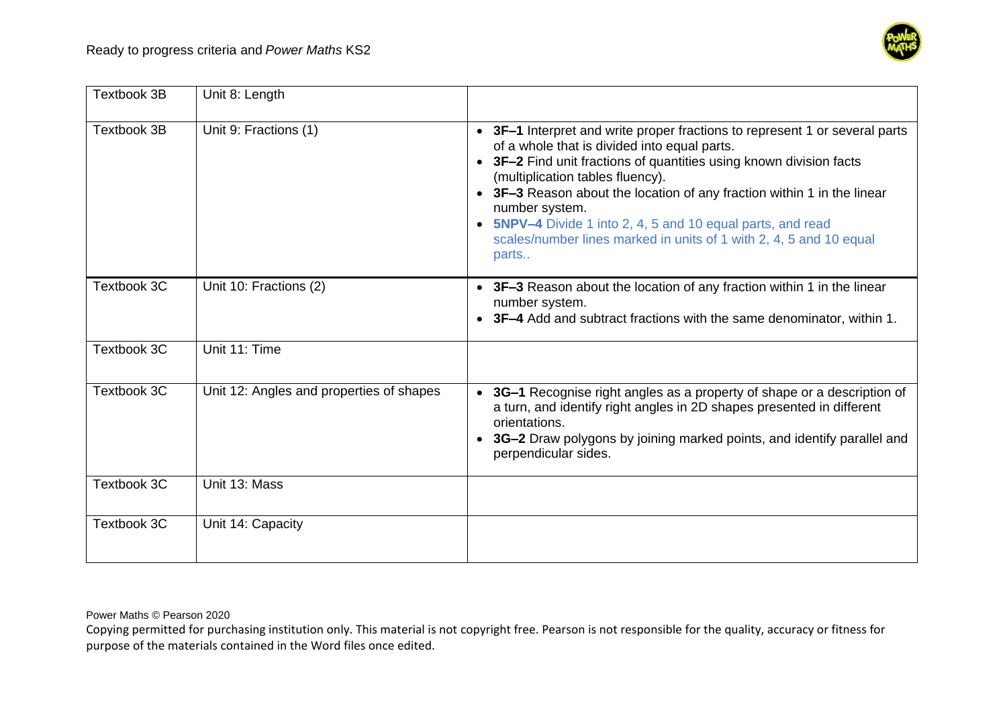

| <b>Textbook 3B</b> | Unit 8: Length                           |                                                                                                                                                                                                                                                                                                                                                                                                                                                                                   |
|--------------------|------------------------------------------|-----------------------------------------------------------------------------------------------------------------------------------------------------------------------------------------------------------------------------------------------------------------------------------------------------------------------------------------------------------------------------------------------------------------------------------------------------------------------------------|
| <b>Textbook 3B</b> | Unit 9: Fractions (1)                    | • 3F-1 Interpret and write proper fractions to represent 1 or several parts<br>of a whole that is divided into equal parts.<br>• 3F-2 Find unit fractions of quantities using known division facts<br>(multiplication tables fluency).<br>• 3F-3 Reason about the location of any fraction within 1 in the linear<br>number system.<br>• 5NPV-4 Divide 1 into 2, 4, 5 and 10 equal parts, and read<br>scales/number lines marked in units of 1 with 2, 4, 5 and 10 equal<br>parts |
| Textbook 3C        | Unit 10: Fractions (2)                   | • 3F-3 Reason about the location of any fraction within 1 in the linear<br>number system.<br><b>3F-4</b> Add and subtract fractions with the same denominator, within 1.                                                                                                                                                                                                                                                                                                          |
| Textbook 3C        | Unit 11: Time                            |                                                                                                                                                                                                                                                                                                                                                                                                                                                                                   |
| Textbook 3C        | Unit 12: Angles and properties of shapes | 3G-1 Recognise right angles as a property of shape or a description of<br>$\bullet$<br>a turn, and identify right angles in 2D shapes presented in different<br>orientations.<br>3G-2 Draw polygons by joining marked points, and identify parallel and<br>perpendicular sides.                                                                                                                                                                                                   |
| Textbook 3C        | Unit 13: Mass                            |                                                                                                                                                                                                                                                                                                                                                                                                                                                                                   |
| Textbook 3C        | Unit 14: Capacity                        |                                                                                                                                                                                                                                                                                                                                                                                                                                                                                   |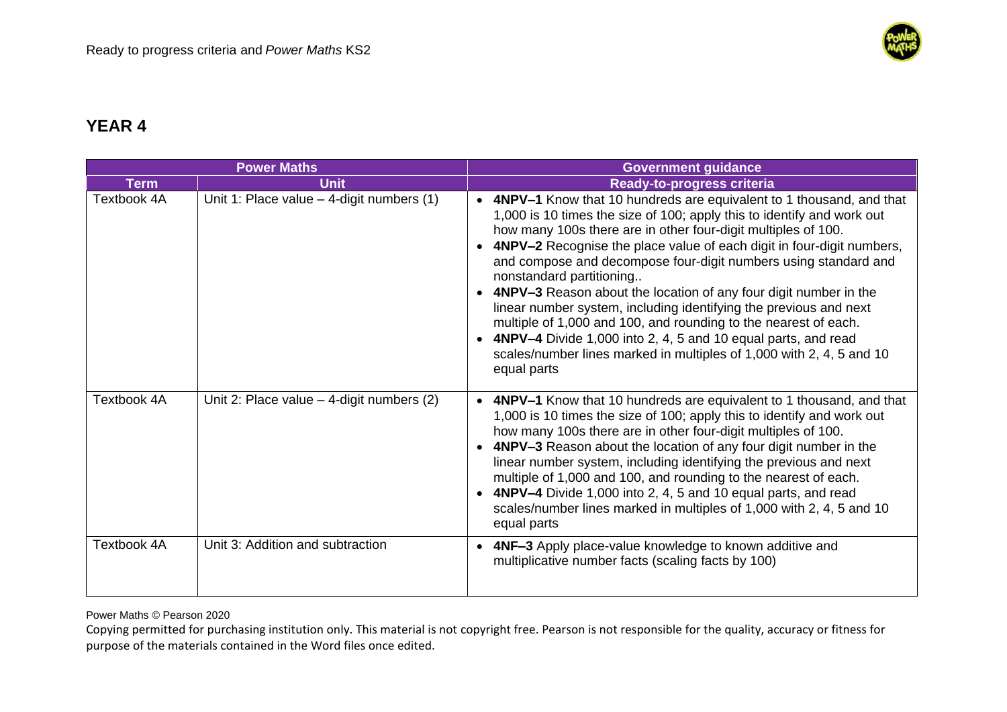

|             | <b>Power Maths</b>                          | <b>Government guidance</b>                                                                                                                                                                                                                                                                                                                                                                                                                                                                                                                                                                                                                                                                                                                                     |
|-------------|---------------------------------------------|----------------------------------------------------------------------------------------------------------------------------------------------------------------------------------------------------------------------------------------------------------------------------------------------------------------------------------------------------------------------------------------------------------------------------------------------------------------------------------------------------------------------------------------------------------------------------------------------------------------------------------------------------------------------------------------------------------------------------------------------------------------|
| <b>Term</b> | <b>Unit</b>                                 | <b>Ready-to-progress criteria</b>                                                                                                                                                                                                                                                                                                                                                                                                                                                                                                                                                                                                                                                                                                                              |
| Textbook 4A | Unit 1: Place value $-$ 4-digit numbers (1) | • 4NPV-1 Know that 10 hundreds are equivalent to 1 thousand, and that<br>1,000 is 10 times the size of 100; apply this to identify and work out<br>how many 100s there are in other four-digit multiples of 100.<br>4NPV-2 Recognise the place value of each digit in four-digit numbers,<br>and compose and decompose four-digit numbers using standard and<br>nonstandard partitioning<br>4NPV-3 Reason about the location of any four digit number in the<br>linear number system, including identifying the previous and next<br>multiple of 1,000 and 100, and rounding to the nearest of each.<br>• 4NPV-4 Divide 1,000 into 2, 4, 5 and 10 equal parts, and read<br>scales/number lines marked in multiples of 1,000 with 2, 4, 5 and 10<br>equal parts |
| Textbook 4A | Unit 2: Place value $-$ 4-digit numbers (2) | • 4NPV-1 Know that 10 hundreds are equivalent to 1 thousand, and that<br>1,000 is 10 times the size of 100; apply this to identify and work out<br>how many 100s there are in other four-digit multiples of 100.<br>4NPV-3 Reason about the location of any four digit number in the<br>linear number system, including identifying the previous and next<br>multiple of 1,000 and 100, and rounding to the nearest of each.<br>4NPV-4 Divide 1,000 into 2, 4, 5 and 10 equal parts, and read<br>scales/number lines marked in multiples of 1,000 with 2, 4, 5 and 10<br>equal parts                                                                                                                                                                           |
| Textbook 4A | Unit 3: Addition and subtraction            | 4NF-3 Apply place-value knowledge to known additive and<br>$\bullet$<br>multiplicative number facts (scaling facts by 100)                                                                                                                                                                                                                                                                                                                                                                                                                                                                                                                                                                                                                                     |

Power Maths © Pearson 2020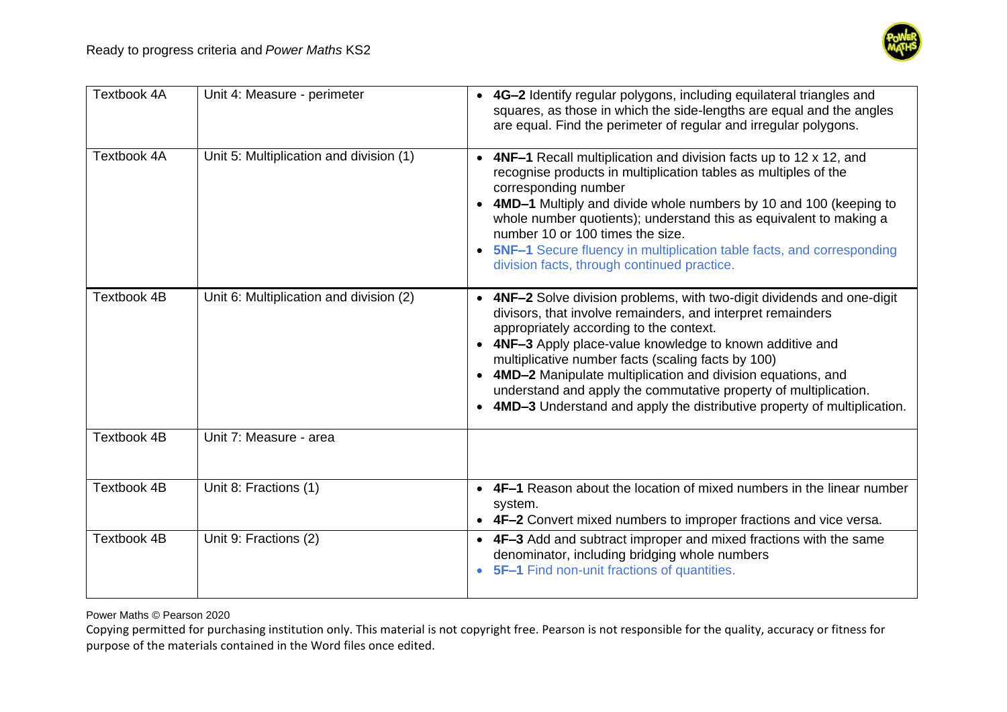

| <b>Textbook 4A</b> | Unit 4: Measure - perimeter             | • 4G-2 Identify regular polygons, including equilateral triangles and<br>squares, as those in which the side-lengths are equal and the angles<br>are equal. Find the perimeter of regular and irregular polygons.                                                                                                                                                                                                                                                                                                    |
|--------------------|-----------------------------------------|----------------------------------------------------------------------------------------------------------------------------------------------------------------------------------------------------------------------------------------------------------------------------------------------------------------------------------------------------------------------------------------------------------------------------------------------------------------------------------------------------------------------|
| Textbook 4A        | Unit 5: Multiplication and division (1) | <b>4NF-1</b> Recall multiplication and division facts up to 12 x 12, and<br>recognise products in multiplication tables as multiples of the<br>corresponding number<br>• 4MD-1 Multiply and divide whole numbers by 10 and 100 (keeping to<br>whole number quotients); understand this as equivalent to making a<br>number 10 or 100 times the size.<br>• 5NF-1 Secure fluency in multiplication table facts, and corresponding<br>division facts, through continued practice.                                       |
| <b>Textbook 4B</b> | Unit 6: Multiplication and division (2) | • 4NF-2 Solve division problems, with two-digit dividends and one-digit<br>divisors, that involve remainders, and interpret remainders<br>appropriately according to the context.<br>• 4NF-3 Apply place-value knowledge to known additive and<br>multiplicative number facts (scaling facts by 100)<br>• 4MD-2 Manipulate multiplication and division equations, and<br>understand and apply the commutative property of multiplication.<br>4MD-3 Understand and apply the distributive property of multiplication. |
| <b>Textbook 4B</b> | Unit 7: Measure - area                  |                                                                                                                                                                                                                                                                                                                                                                                                                                                                                                                      |
| <b>Textbook 4B</b> | Unit 8: Fractions (1)                   | • 4F-1 Reason about the location of mixed numbers in the linear number<br>system.<br>• 4F-2 Convert mixed numbers to improper fractions and vice versa.                                                                                                                                                                                                                                                                                                                                                              |
| <b>Textbook 4B</b> | Unit 9: Fractions (2)                   | • 4F-3 Add and subtract improper and mixed fractions with the same<br>denominator, including bridging whole numbers<br>5F-1 Find non-unit fractions of quantities.                                                                                                                                                                                                                                                                                                                                                   |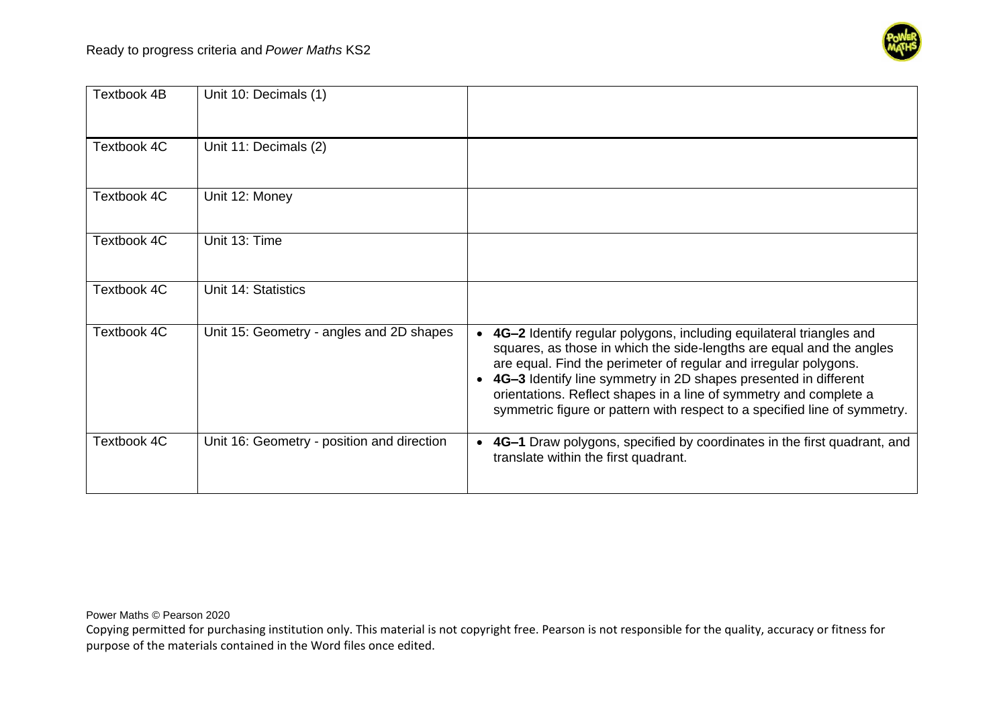

| Textbook 4B | Unit 10: Decimals (1)                      |                                                                                                                                                                                                                                                                                                                                                                                                                                                   |
|-------------|--------------------------------------------|---------------------------------------------------------------------------------------------------------------------------------------------------------------------------------------------------------------------------------------------------------------------------------------------------------------------------------------------------------------------------------------------------------------------------------------------------|
| Textbook 4C | Unit 11: Decimals (2)                      |                                                                                                                                                                                                                                                                                                                                                                                                                                                   |
| Textbook 4C | Unit 12: Money                             |                                                                                                                                                                                                                                                                                                                                                                                                                                                   |
| Textbook 4C | Unit 13: Time                              |                                                                                                                                                                                                                                                                                                                                                                                                                                                   |
| Textbook 4C | Unit 14: Statistics                        |                                                                                                                                                                                                                                                                                                                                                                                                                                                   |
| Textbook 4C | Unit 15: Geometry - angles and 2D shapes   | 4G-2 Identify regular polygons, including equilateral triangles and<br>$\bullet$<br>squares, as those in which the side-lengths are equal and the angles<br>are equal. Find the perimeter of regular and irregular polygons.<br>4G-3 Identify line symmetry in 2D shapes presented in different<br>orientations. Reflect shapes in a line of symmetry and complete a<br>symmetric figure or pattern with respect to a specified line of symmetry. |
| Textbook 4C | Unit 16: Geometry - position and direction | 4G-1 Draw polygons, specified by coordinates in the first quadrant, and<br>$\bullet$<br>translate within the first quadrant.                                                                                                                                                                                                                                                                                                                      |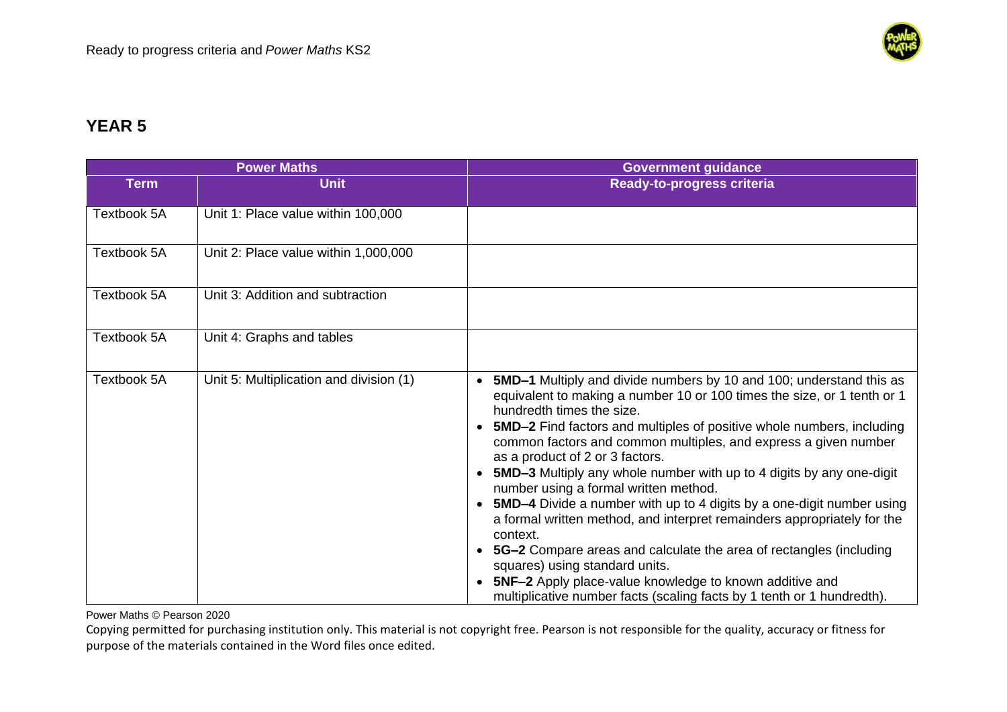

|                    | <b>Power Maths</b>                      | <b>Government guidance</b>                                                                                                                                                                                                                                                                                                                                                                                                                                                                                                                                                                                                                                                                                                                                                                                                                                                                                        |
|--------------------|-----------------------------------------|-------------------------------------------------------------------------------------------------------------------------------------------------------------------------------------------------------------------------------------------------------------------------------------------------------------------------------------------------------------------------------------------------------------------------------------------------------------------------------------------------------------------------------------------------------------------------------------------------------------------------------------------------------------------------------------------------------------------------------------------------------------------------------------------------------------------------------------------------------------------------------------------------------------------|
| <b>Term</b>        | <b>Unit</b>                             | Ready-to-progress criteria                                                                                                                                                                                                                                                                                                                                                                                                                                                                                                                                                                                                                                                                                                                                                                                                                                                                                        |
| <b>Textbook 5A</b> | Unit 1: Place value within 100,000      |                                                                                                                                                                                                                                                                                                                                                                                                                                                                                                                                                                                                                                                                                                                                                                                                                                                                                                                   |
| Textbook 5A        | Unit 2: Place value within 1,000,000    |                                                                                                                                                                                                                                                                                                                                                                                                                                                                                                                                                                                                                                                                                                                                                                                                                                                                                                                   |
| Textbook 5A        | Unit 3: Addition and subtraction        |                                                                                                                                                                                                                                                                                                                                                                                                                                                                                                                                                                                                                                                                                                                                                                                                                                                                                                                   |
| Textbook 5A        | Unit 4: Graphs and tables               |                                                                                                                                                                                                                                                                                                                                                                                                                                                                                                                                                                                                                                                                                                                                                                                                                                                                                                                   |
| Textbook 5A        | Unit 5: Multiplication and division (1) | <b>5MD-1</b> Multiply and divide numbers by 10 and 100; understand this as<br>equivalent to making a number 10 or 100 times the size, or 1 tenth or 1<br>hundredth times the size.<br><b>5MD-2</b> Find factors and multiples of positive whole numbers, including<br>common factors and common multiples, and express a given number<br>as a product of 2 or 3 factors.<br>5MD-3 Multiply any whole number with up to 4 digits by any one-digit<br>number using a formal written method.<br>• 5MD-4 Divide a number with up to 4 digits by a one-digit number using<br>a formal written method, and interpret remainders appropriately for the<br>context.<br>• 5G-2 Compare areas and calculate the area of rectangles (including<br>squares) using standard units.<br><b>5NF-2</b> Apply place-value knowledge to known additive and<br>multiplicative number facts (scaling facts by 1 tenth or 1 hundredth). |

Power Maths © Pearson 2020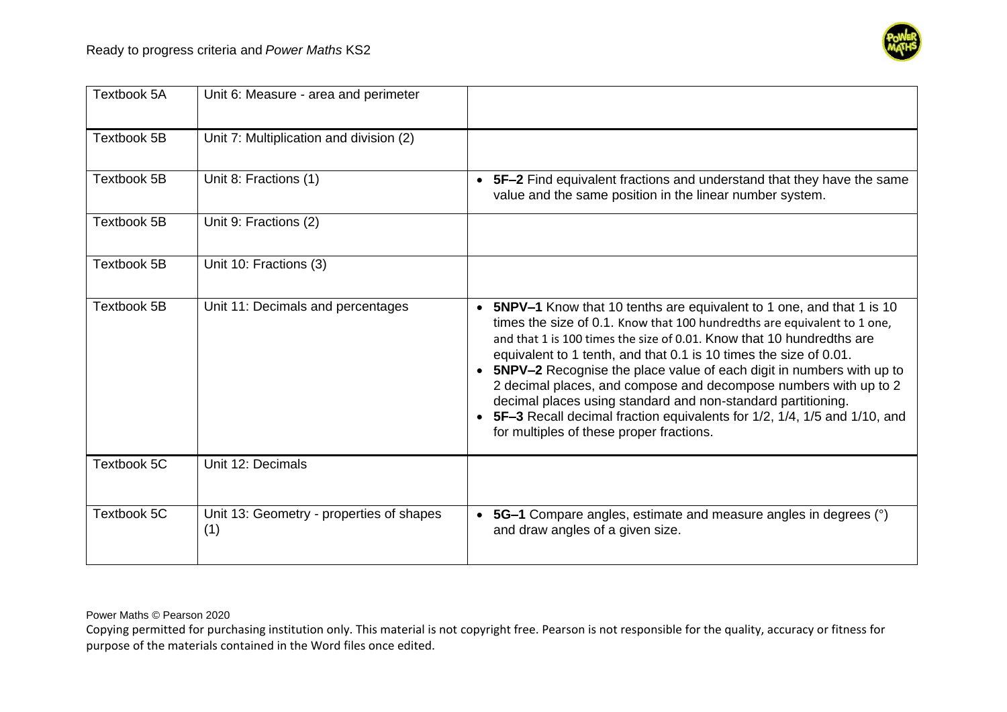

| Textbook 5A        | Unit 6: Measure - area and perimeter            |                                                                                                                                                                                                                                                                                                                                                                                                                                                                                                                                                                                                                                                                            |
|--------------------|-------------------------------------------------|----------------------------------------------------------------------------------------------------------------------------------------------------------------------------------------------------------------------------------------------------------------------------------------------------------------------------------------------------------------------------------------------------------------------------------------------------------------------------------------------------------------------------------------------------------------------------------------------------------------------------------------------------------------------------|
| <b>Textbook 5B</b> | Unit 7: Multiplication and division (2)         |                                                                                                                                                                                                                                                                                                                                                                                                                                                                                                                                                                                                                                                                            |
| <b>Textbook 5B</b> | Unit 8: Fractions (1)                           | • 5F-2 Find equivalent fractions and understand that they have the same<br>value and the same position in the linear number system.                                                                                                                                                                                                                                                                                                                                                                                                                                                                                                                                        |
| Textbook 5B        | Unit 9: Fractions (2)                           |                                                                                                                                                                                                                                                                                                                                                                                                                                                                                                                                                                                                                                                                            |
| <b>Textbook 5B</b> | Unit 10: Fractions (3)                          |                                                                                                                                                                                                                                                                                                                                                                                                                                                                                                                                                                                                                                                                            |
| <b>Textbook 5B</b> | Unit 11: Decimals and percentages               | <b>5NPV-1</b> Know that 10 tenths are equivalent to 1 one, and that 1 is 10<br>$\bullet$<br>times the size of 0.1. Know that 100 hundredths are equivalent to 1 one,<br>and that 1 is 100 times the size of 0.01. Know that 10 hundredths are<br>equivalent to 1 tenth, and that 0.1 is 10 times the size of 0.01.<br><b>5NPV-2</b> Recognise the place value of each digit in numbers with up to<br>2 decimal places, and compose and decompose numbers with up to 2<br>decimal places using standard and non-standard partitioning.<br>5F-3 Recall decimal fraction equivalents for 1/2, 1/4, 1/5 and 1/10, and<br>$\bullet$<br>for multiples of these proper fractions. |
| Textbook 5C        | Unit 12: Decimals                               |                                                                                                                                                                                                                                                                                                                                                                                                                                                                                                                                                                                                                                                                            |
| Textbook 5C        | Unit 13: Geometry - properties of shapes<br>(1) | 5G-1 Compare angles, estimate and measure angles in degrees (°)<br>$\bullet$<br>and draw angles of a given size.                                                                                                                                                                                                                                                                                                                                                                                                                                                                                                                                                           |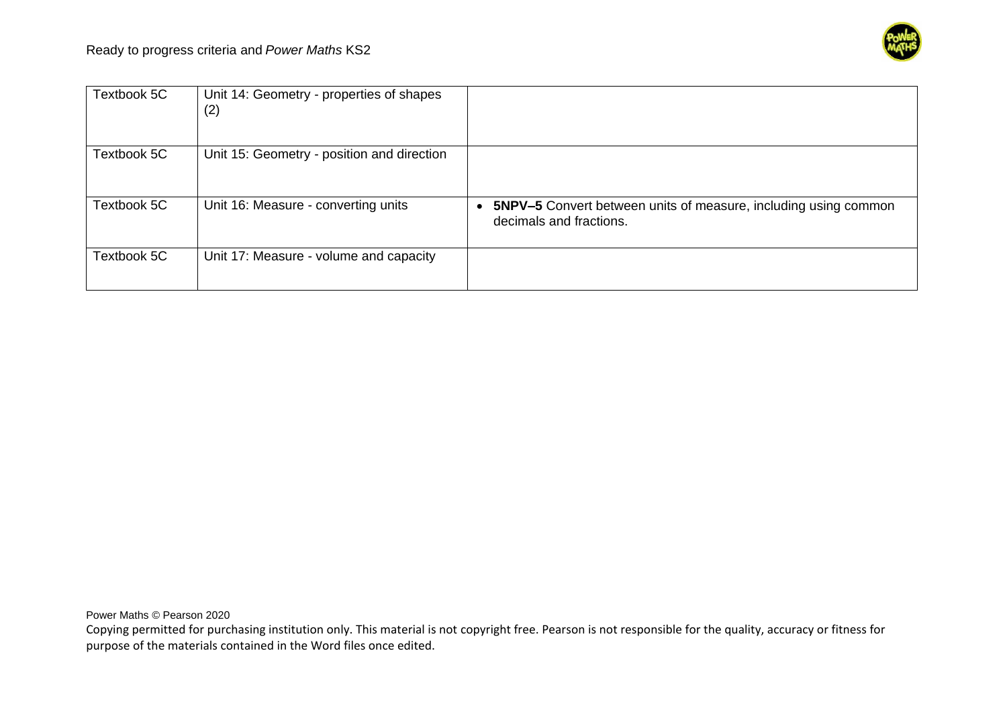

| Textbook 5C | Unit 14: Geometry - properties of shapes<br>(2) |                                                                                                   |
|-------------|-------------------------------------------------|---------------------------------------------------------------------------------------------------|
| Textbook 5C | Unit 15: Geometry - position and direction      |                                                                                                   |
| Textbook 5C | Unit 16: Measure - converting units             | <b>5NPV-5</b> Convert between units of measure, including using common<br>decimals and fractions. |
| Textbook 5C | Unit 17: Measure - volume and capacity          |                                                                                                   |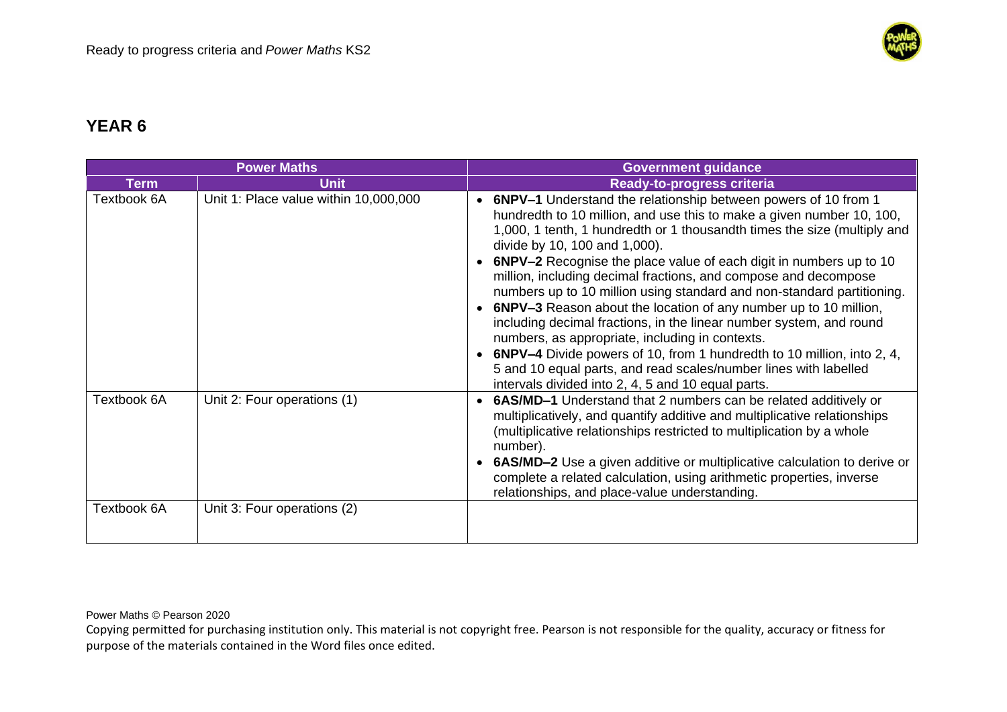

| <b>Power Maths</b>         |                                                            |           | <b>Government guidance</b>                                                                                                                                                                                                                                                                                                                                                                                                                                                                                                                                                                                                                                                                                                                                                                                                                                                       |
|----------------------------|------------------------------------------------------------|-----------|----------------------------------------------------------------------------------------------------------------------------------------------------------------------------------------------------------------------------------------------------------------------------------------------------------------------------------------------------------------------------------------------------------------------------------------------------------------------------------------------------------------------------------------------------------------------------------------------------------------------------------------------------------------------------------------------------------------------------------------------------------------------------------------------------------------------------------------------------------------------------------|
| <b>Term</b>                | <b>Unit</b>                                                |           | Ready-to-progress criteria                                                                                                                                                                                                                                                                                                                                                                                                                                                                                                                                                                                                                                                                                                                                                                                                                                                       |
| Textbook 6A                | Unit 1: Place value within 10,000,000                      | $\bullet$ | 6NPV-1 Understand the relationship between powers of 10 from 1<br>hundredth to 10 million, and use this to make a given number 10, 100,<br>1,000, 1 tenth, 1 hundredth or 1 thousandth times the size (multiply and<br>divide by 10, 100 and 1,000).<br>6NPV-2 Recognise the place value of each digit in numbers up to 10<br>million, including decimal fractions, and compose and decompose<br>numbers up to 10 million using standard and non-standard partitioning.<br>6NPV-3 Reason about the location of any number up to 10 million,<br>including decimal fractions, in the linear number system, and round<br>numbers, as appropriate, including in contexts.<br><b>6NPV-4</b> Divide powers of 10, from 1 hundredth to 10 million, into 2, 4,<br>5 and 10 equal parts, and read scales/number lines with labelled<br>intervals divided into 2, 4, 5 and 10 equal parts. |
| Textbook 6A<br>Textbook 6A | Unit 2: Four operations (1)<br>Unit 3: Four operations (2) | $\bullet$ | 6AS/MD-1 Understand that 2 numbers can be related additively or<br>multiplicatively, and quantify additive and multiplicative relationships<br>(multiplicative relationships restricted to multiplication by a whole<br>number).<br><b>6AS/MD-2</b> Use a given additive or multiplicative calculation to derive or<br>complete a related calculation, using arithmetic properties, inverse<br>relationships, and place-value understanding.                                                                                                                                                                                                                                                                                                                                                                                                                                     |
|                            |                                                            |           |                                                                                                                                                                                                                                                                                                                                                                                                                                                                                                                                                                                                                                                                                                                                                                                                                                                                                  |

Power Maths © Pearson 2020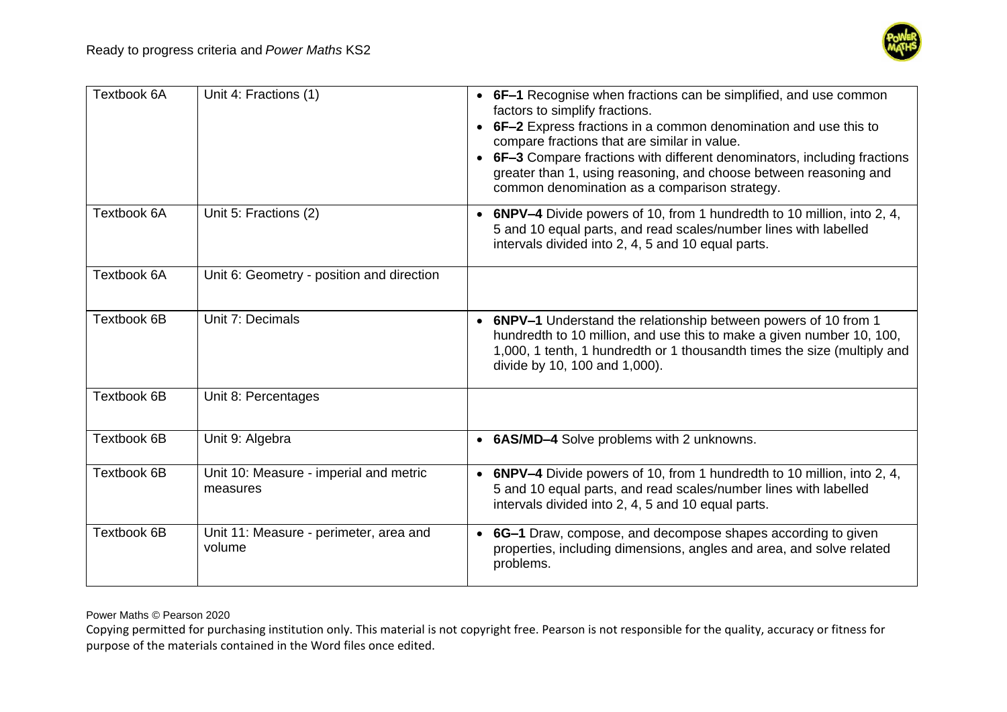

| Textbook 6A | Unit 4: Fractions (1)                              | • 6F-1 Recognise when fractions can be simplified, and use common<br>factors to simplify fractions.<br>• 6F-2 Express fractions in a common denomination and use this to<br>compare fractions that are similar in value.<br>6F-3 Compare fractions with different denominators, including fractions<br>$\bullet$<br>greater than 1, using reasoning, and choose between reasoning and<br>common denomination as a comparison strategy. |
|-------------|----------------------------------------------------|----------------------------------------------------------------------------------------------------------------------------------------------------------------------------------------------------------------------------------------------------------------------------------------------------------------------------------------------------------------------------------------------------------------------------------------|
| Textbook 6A | Unit 5: Fractions (2)                              | <b>6NPV-4</b> Divide powers of 10, from 1 hundredth to 10 million, into 2, 4,<br>5 and 10 equal parts, and read scales/number lines with labelled<br>intervals divided into 2, 4, 5 and 10 equal parts.                                                                                                                                                                                                                                |
| Textbook 6A | Unit 6: Geometry - position and direction          |                                                                                                                                                                                                                                                                                                                                                                                                                                        |
| Textbook 6B | Unit 7: Decimals                                   | • 6NPV-1 Understand the relationship between powers of 10 from 1<br>hundredth to 10 million, and use this to make a given number 10, 100,<br>1,000, 1 tenth, 1 hundredth or 1 thousandth times the size (multiply and<br>divide by 10, 100 and 1,000).                                                                                                                                                                                 |
| Textbook 6B | Unit 8: Percentages                                |                                                                                                                                                                                                                                                                                                                                                                                                                                        |
| Textbook 6B | Unit 9: Algebra                                    | • 6AS/MD-4 Solve problems with 2 unknowns.                                                                                                                                                                                                                                                                                                                                                                                             |
| Textbook 6B | Unit 10: Measure - imperial and metric<br>measures | <b>6NPV-4</b> Divide powers of 10, from 1 hundredth to 10 million, into 2, 4,<br>$\bullet$<br>5 and 10 equal parts, and read scales/number lines with labelled<br>intervals divided into 2, 4, 5 and 10 equal parts.                                                                                                                                                                                                                   |
| Textbook 6B | Unit 11: Measure - perimeter, area and<br>volume   | 6G-1 Draw, compose, and decompose shapes according to given<br>$\bullet$<br>properties, including dimensions, angles and area, and solve related<br>problems.                                                                                                                                                                                                                                                                          |